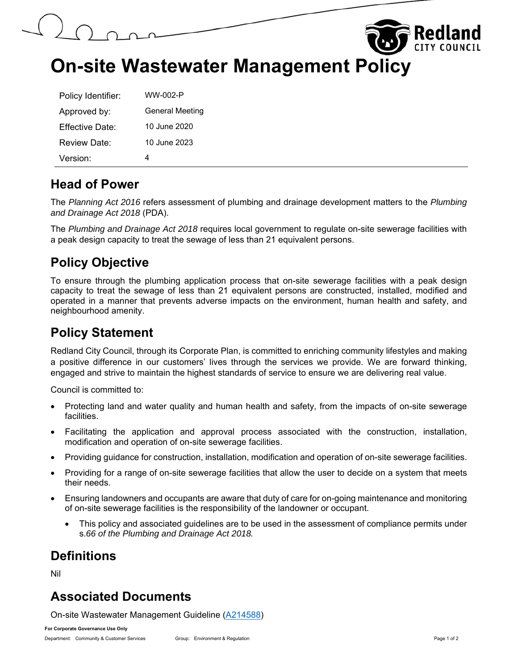



## **On-site Wastewater Management Policy**

| Policy Identifier:     | WW-002-P               |
|------------------------|------------------------|
| Approved by:           | <b>General Meeting</b> |
| <b>Effective Date:</b> | 10 June 2020           |
| Review Date:           | 10 June 2023           |
| Version:               |                        |

#### **Head of Power**

The *Planning Act 2016* refers assessment of plumbing and drainage development matters to the *Plumbing and Drainage Act 2018* (PDA).

The *Plumbing and Drainage Act 2018* requires local government to regulate on-site sewerage facilities with a peak design capacity to treat the sewage of less than 21 equivalent persons.

#### **Policy Objective**

To ensure through the plumbing application process that on-site sewerage facilities with a peak design capacity to treat the sewage of less than 21 equivalent persons are constructed, installed, modified and operated in a manner that prevents adverse impacts on the environment, human health and safety, and neighbourhood amenity.

#### **Policy Statement**

Redland City Council, through its Corporate Plan, is committed to enriching community lifestyles and making a positive difference in our customers' lives through the services we provide. We are forward thinking, engaged and strive to maintain the highest standards of service to ensure we are delivering real value.

Council is committed to:

- Protecting land and water quality and human health and safety, from the impacts of on-site sewerage facilities.
- Facilitating the application and approval process associated with the construction, installation, modification and operation of on-site sewerage facilities.
- Providing guidance for construction, installation, modification and operation of on-site sewerage facilities.
- Providing for a range of on-site sewerage facilities that allow the user to decide on a system that meets their needs.
- Ensuring landowners and occupants are aware that duty of care for on-going maintenance and monitoring of on-site sewerage facilities is the responsibility of the landowner or occupant.
	- This policy and associated guidelines are to be used in the assessment of compliance permits under s.*66 of the Plumbing and Drainage Act 2018.*

#### **Definitions**

Nil

#### **Associated Documents**

On-site Wastewater Management Guideline (A214588)